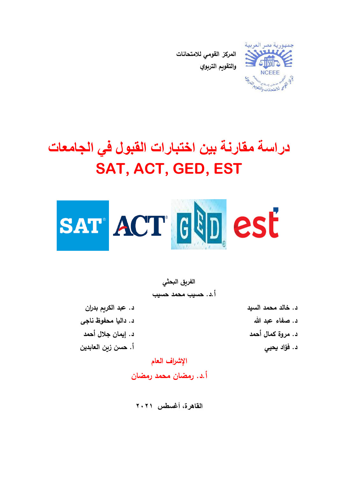

**المركز القومي لالمتحانات والتقويم التربوي**

# **دراسة مقارنة بين اختبارات القبول في الجامعات SAT, ACT, GED, EST**



**الفريق البحثي أ.د. حسيب محمد حسيب**

**د. خالد محمد السيد د. عبد الكريم بدران** 

**د. صفاء عبد هللا د. داليا محفوظ ناجى د. مروة كمال أحمد د. إيمان جالل أحمد د. فؤاد يحيي أ. حسن زين العابدين اإلشراف العام**

**أ.د. رمضان محمد رمضان**

**القاهرة، أغسطس 2021**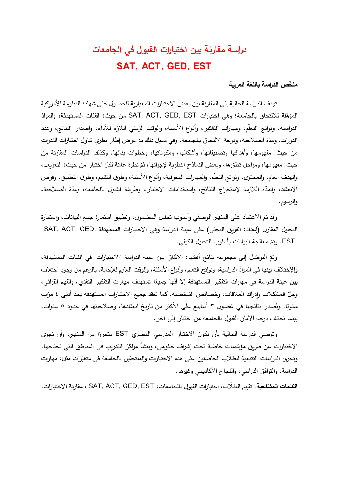## **دراسة مقارنة بين اختبارات القبول في الجامعات SAT, ACT, GED, EST**

#### **مل ص الدراسة باللغة العربية خ**

تهدف الدراسة الحالية إلى المقارنة بين بعض الاختبارات المعيارية للحصول على شهادة الدبلومة الأمريكية المؤهّلة للالتحاق بالجامعة؛ وهي اختبارات SAT, ACT, GED, EST من حيث: الفئات المستهدفة، والموادّ الدراسية، ونواتج التعلّم، ومهارات التفكير، وأنواع الأسئلة، والوقت الزمني اللازم للأداء، وإصدار النتائج، وعدد الدورات، ومدّة الصـلاحية، ودرجة الالتحاق بالجامعة. وفي سبيل ذلك تمّ عرض إطار نظري تناول اختبارات القدرات من حيث: مفهومها، وأهدافها وتصنيفاتها، وأشكالها، ومكوّناتها، وخطوات بنائها. وكذلك الدراسات المقارنة من حيث: مفهومها، ومراحل تطوّرها، وبعض النماذج النظرية لإجرائها، ثمّ نظرة عامّة لكلّ اختبار من حيث: التعريف، والهدف العام، والمحتوى، ونواتج التعلُّم، والمهارات المعرفية، وأنواع الأسئلة، وطرق التقييم، وطرق التطبيق، وفرص الانعقاد، والمدّة اللازمة لإستخراج النتائج، واستخدامات الاختبار، وطريقة القبول بالجامعة، ومدّة الصلاحية، والرسو م.

 وقد تم االعتماد على المنهج الوصفي وأسلوب تحليل المضمون، وتطبيق استمارة جمع البيانات، واستمارة التحليل المقارن (إعداد: الفريق البحثي) على عينة الدراسة وهي الاختبارات المستهدفة ,SAT, ACT ,GED .EST وتم معالجة البيانات بأسلوب التحليل الكيفي.

وتمّ التوصّل إلى مجموعة نتائج أهمّها: الاتّفاق بين عينة الدراسة "الاختبارات" في الفئات المستهدفة، والإختلاف بينها في الموادّ الدراسية، ونواتج التعلّم، وأنواع الأسئلة، والوقت اللازم للإجابة. بالرغم من وجود اختلاف ين عينة الدراسة في مهارات التفكير المستهدفة إلا أنّها جميعًا تستهدف مهارات التفكير النقدي، والفهم القرائي،<br>. وحلّ المشكلات وإدراك العلاقات، وخصائص الشخصية. كما تعقد جميع الاختبارات المستهدفة بحد أدنى ٤ مرّات سنويًا، وتُصدر نتائجها في غضون ٣ أسابيع على الأكثر من تاريخ انعقادها، وصلاحيتها في حدود ٥ سنوات. بينما تختلف درجة األمان القبول بالجامعة من اختبار إلى آخر.

رتوصي الدراسة الحالية بأن يكون الاختبار المدرسي المصري EST متحررًا من المنهج، وأن تجرى الاختبارات عن طريق مؤسّسات خاصّة تحت إشراف حكومي، وتتشأ مراكز التدريب في المناطق التي تحتاجها.<br>. وتجرى الدراسات التتبعية للطلاب الحاصلين على هذه الاختبارات والملتحقين بالجامعة في متغيّرات مثل: مهارات الدراسة، والتوافق الدراسي، والنجاح األكاديمي وغيرها.

تقييم الط الب، اختبارات القبول بالجامعات: EST ,GED ,ACT ,SAT ، مقارنة االختبارات. **الكلمات المفتاحية:**